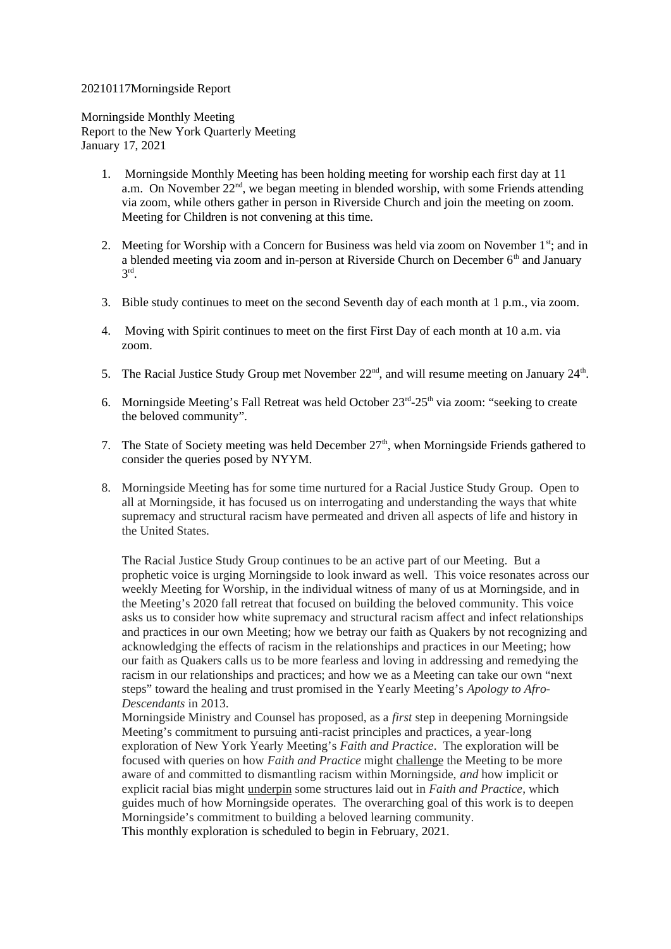## 20210117Morningside Report

Morningside Monthly Meeting Report to the New York Quarterly Meeting January 17, 2021

- 1. Morningside Monthly Meeting has been holding meeting for worship each first day at 11 a.m. On November 22<sup>nd</sup>, we began meeting in blended worship, with some Friends attending via zoom, while others gather in person in Riverside Church and join the meeting on zoom. Meeting for Children is not convening at this time.
- 2. Meeting for Worship with a Concern for Business was held via zoom on November  $1<sup>st</sup>$ ; and in a blended meeting via zoom and in-person at Riverside Church on December  $6<sup>th</sup>$  and January  $3<sup>rd</sup>$ .
- 3. Bible study continues to meet on the second Seventh day of each month at 1 p.m., via zoom.
- 4. Moving with Spirit continues to meet on the first First Day of each month at 10 a.m. via zoom.
- 5. The Racial Justice Study Group met November  $22<sup>nd</sup>$ , and will resume meeting on January  $24<sup>th</sup>$ .
- 6. Morningside Meeting's Fall Retreat was held October  $23<sup>rd</sup>$ -25<sup>th</sup> via zoom: "seeking to create the beloved community".
- 7. The State of Society meeting was held December  $27<sup>th</sup>$ , when Morningside Friends gathered to consider the queries posed by NYYM.
- 8. Morningside Meeting has for some time nurtured for a Racial Justice Study Group. Open to all at Morningside, it has focused us on interrogating and understanding the ways that white supremacy and structural racism have permeated and driven all aspects of life and history in the United States.

The Racial Justice Study Group continues to be an active part of our Meeting. But a prophetic voice is urging Morningside to look inward as well. This voice resonates across our weekly Meeting for Worship, in the individual witness of many of us at Morningside, and in the Meeting's 2020 fall retreat that focused on building the beloved community. This voice asks us to consider how white supremacy and structural racism affect and infect relationships and practices in our own Meeting; how we betray our faith as Quakers by not recognizing and acknowledging the effects of racism in the relationships and practices in our Meeting; how our faith as Quakers calls us to be more fearless and loving in addressing and remedying the racism in our relationships and practices; and how we as a Meeting can take our own "next steps" toward the healing and trust promised in the Yearly Meeting's *Apology to Afro-Descendants* in 2013.

Morningside Ministry and Counsel has proposed, as a *first* step in deepening Morningside Meeting's commitment to pursuing anti-racist principles and practices, a year-long exploration of New York Yearly Meeting's *Faith and Practice*. The exploration will be focused with queries on how *Faith and Practice* might challenge the Meeting to be more aware of and committed to dismantling racism within Morningside, *and* how implicit or explicit racial bias might underpin some structures laid out in *Faith and Practice*, which guides much of how Morningside operates. The overarching goal of this work is to deepen Morningside's commitment to building a beloved learning community. This monthly exploration is scheduled to begin in February, 2021.